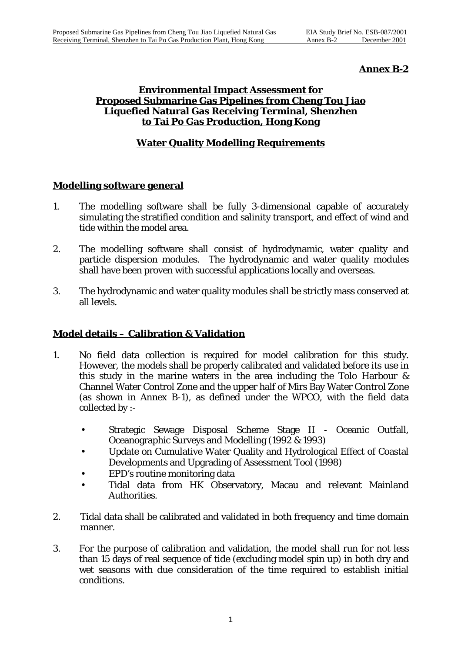# **Annex B-2**

#### **Environmental Impact Assessment for Proposed Submarine Gas Pipelines from Cheng Tou Jiao Liquefied Natural Gas Receiving Terminal, Shenzhen to Tai Po Gas Production, Hong Kong**

# **Water Quality Modelling Requirements**

## **Modelling software general**

- 1. The modelling software shall be fully 3-dimensional capable of accurately simulating the stratified condition and salinity transport, and effect of wind and tide within the model area.
- 2. The modelling software shall consist of hydrodynamic, water quality and particle dispersion modules. The hydrodynamic and water quality modules shall have been proven with successful applications locally and overseas.
- 3. The hydrodynamic and water quality modules shall be strictly mass conserved at all levels.

## **Model details – Calibration & Validation**

- 1. No field data collection is required for model calibration for this study. However, the models shall be properly calibrated and validated before its use in this study in the marine waters in the area including the Tolo Harbour & Channel Water Control Zone and the upper half of Mirs Bay Water Control Zone (as shown in Annex B-1), as defined under the WPCO, with the field data collected by :-
	- Strategic Sewage Disposal Scheme Stage II Oceanic Outfall, Oceanographic Surveys and Modelling (1992 & 1993)
	- Update on Cumulative Water Quality and Hydrological Effect of Coastal Developments and Upgrading of Assessment Tool (1998)
	- EPD's routine monitoring data
	- Tidal data from HK Observatory, Macau and relevant Mainland Authorities.
- 2. Tidal data shall be calibrated and validated in both frequency and time domain manner.
- 3. For the purpose of calibration and validation, the model shall run for not less than 15 days of real sequence of tide (excluding model spin up) in both dry and wet seasons with due consideration of the time required to establish initial conditions.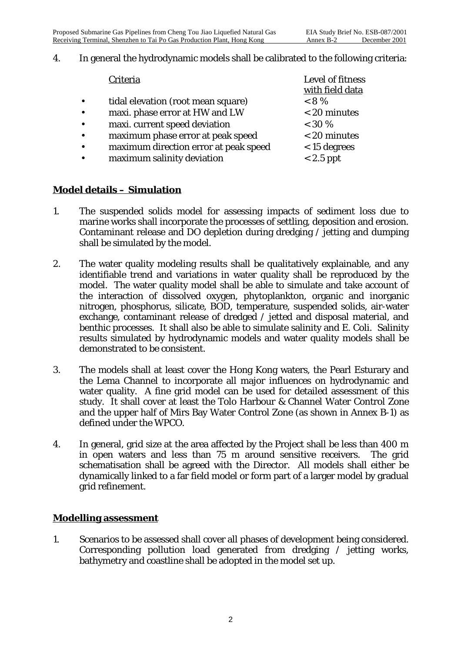#### 4. In general the hydrodynamic models shall be calibrated to the following criteria:

|           | Criteria                              | Level of fitness<br>with field data |
|-----------|---------------------------------------|-------------------------------------|
|           | tidal elevation (root mean square)    | $< 8\%$                             |
| $\bullet$ | maxi. phase error at HW and LW        | < 20 minutes                        |
| $\bullet$ | maxi. current speed deviation         | $< 30 \%$                           |
|           | maximum phase error at peak speed     | $<$ 20 minutes                      |
|           | maximum direction error at peak speed | $<$ 15 degrees                      |
|           | maximum salinity deviation            | $< 2.5$ ppt                         |

## **Model details – Simulation**

- 1. The suspended solids model for assessing impacts of sediment loss due to marine works shall incorporate the processes of settling, deposition and erosion. Contaminant release and DO depletion during dredging / jetting and dumping shall be simulated by the model.
- 2. The water quality modeling results shall be qualitatively explainable, and any identifiable trend and variations in water quality shall be reproduced by the model. The water quality model shall be able to simulate and take account of the interaction of dissolved oxygen, phytoplankton, organic and inorganic nitrogen, phosphorus, silicate, BOD, temperature, suspended solids, air-water exchange, contaminant release of dredged / jetted and disposal material, and benthic processes. It shall also be able to simulate salinity and *E.* Coli. Salinity results simulated by hydrodynamic models and water quality models shall be demonstrated to be consistent.
- 3. The models shall at least cover the Hong Kong waters, the Pearl Esturary and the Lema Channel to incorporate all major influences on hydrodynamic and water quality. A fine grid model can be used for detailed assessment of this study. It shall cover at least the Tolo Harbour & Channel Water Control Zone and the upper half of Mirs Bay Water Control Zone (as shown in Annex B-1) as defined under the WPCO.
- 4. In general, grid size at the area affected by the Project shall be less than 400 m in open waters and less than 75 m around sensitive receivers. The grid schematisation shall be agreed with the Director. All models shall either be dynamically linked to a far field model or form part of a larger model by gradual grid refinement.

#### **Modelling assessment**

1. Scenarios to be assessed shall cover all phases of development being considered. Corresponding pollution load generated from dredging / jetting works, bathymetry and coastline shall be adopted in the model set up.